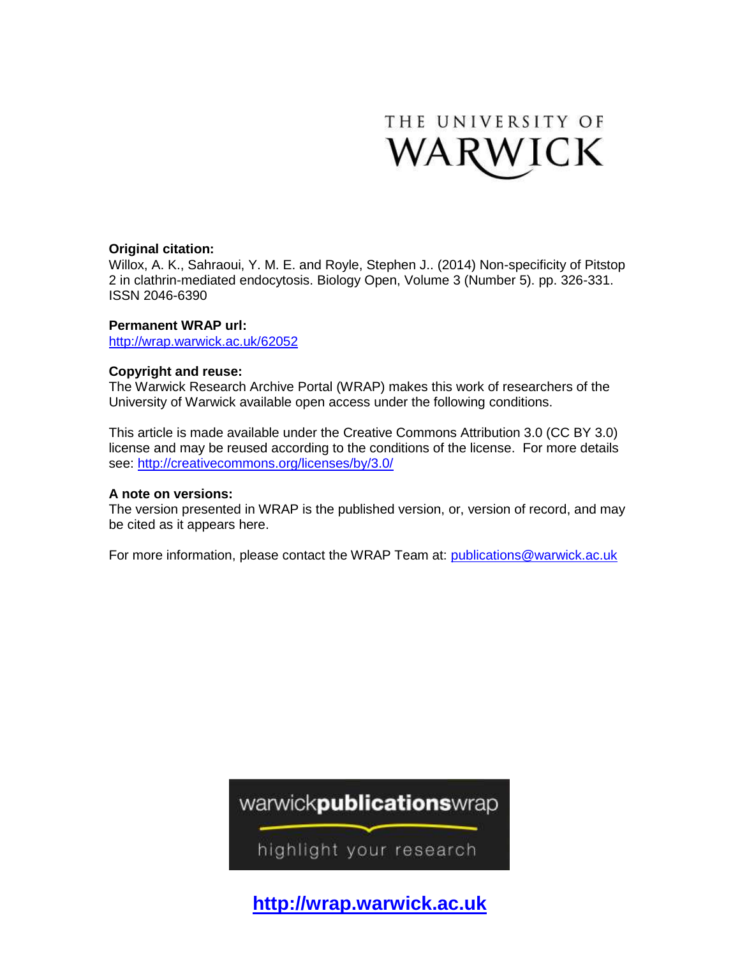

# **Original citation:**

Willox, A. K., Sahraoui, Y. M. E. and Royle, Stephen J.. (2014) Non-specificity of Pitstop 2 in clathrin-mediated endocytosis. Biology Open, Volume 3 (Number 5). pp. 326-331. ISSN 2046-6390

# **Permanent WRAP url:**

<http://wrap.warwick.ac.uk/62052>

# **Copyright and reuse:**

The Warwick Research Archive Portal (WRAP) makes this work of researchers of the University of Warwick available open access under the following conditions.

This article is made available under the Creative Commons Attribution 3.0 (CC BY 3.0) license and may be reused according to the conditions of the license. For more details see:<http://creativecommons.org/licenses/by/3.0/>

# **A note on versions:**

The version presented in WRAP is the published version, or, version of record, and may be cited as it appears here.

For more information, please contact the WRAP Team at: [publications@warwick.ac.uk](mailto:publications@warwick.ac.uk)



highlight your research

**[http://wrap.warwick.ac.uk](http://wrap.warwick.ac.uk/)**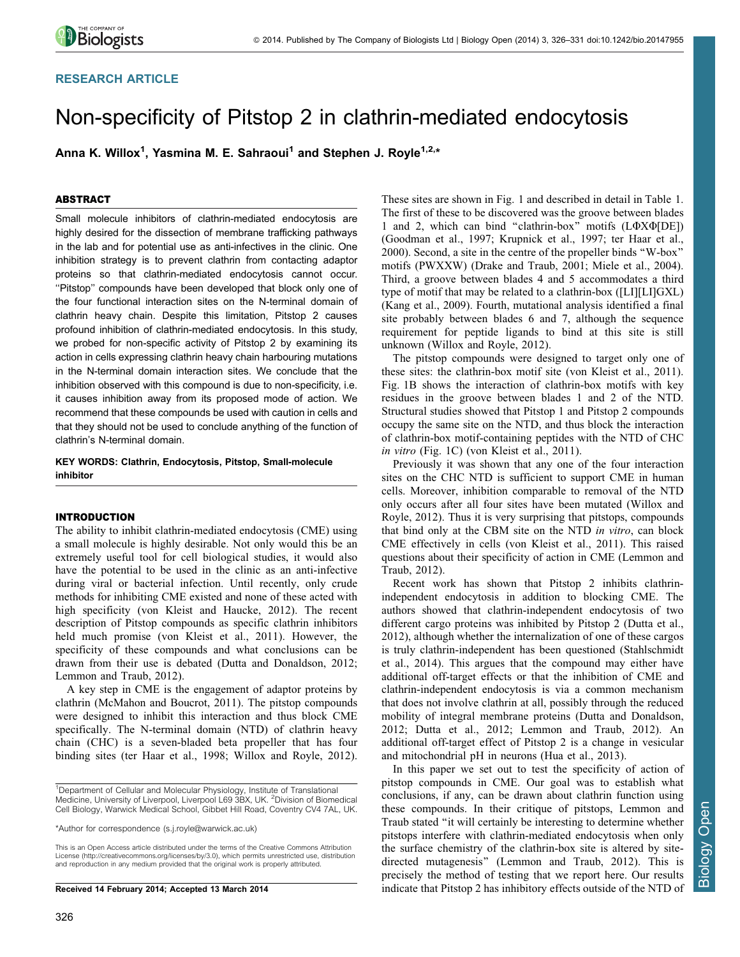## RESEARCH ARTICLE

# Non-specificity of Pitstop 2 in clathrin-mediated endocytosis

Anna K. Willox<sup>1</sup>, Yasmina M. E. Sahraoui<sup>1</sup> and Stephen J. Royle<sup>1,2,</sup>\*

## ABSTRACT

Small molecule inhibitors of clathrin-mediated endocytosis are highly desired for the dissection of membrane trafficking pathways in the lab and for potential use as anti-infectives in the clinic. One inhibition strategy is to prevent clathrin from contacting adaptor proteins so that clathrin-mediated endocytosis cannot occur. ''Pitstop'' compounds have been developed that block only one of the four functional interaction sites on the N-terminal domain of clathrin heavy chain. Despite this limitation, Pitstop 2 causes profound inhibition of clathrin-mediated endocytosis. In this study, we probed for non-specific activity of Pitstop 2 by examining its action in cells expressing clathrin heavy chain harbouring mutations in the N-terminal domain interaction sites. We conclude that the inhibition observed with this compound is due to non-specificity, i.e. it causes inhibition away from its proposed mode of action. We recommend that these compounds be used with caution in cells and that they should not be used to conclude anything of the function of clathrin's N-terminal domain.

KEY WORDS: Clathrin, Endocytosis, Pitstop, Small-molecule inhibitor

## INTRODUCTION

The ability to inhibit clathrin-mediated endocytosis (CME) using a small molecule is highly desirable. Not only would this be an extremely useful tool for cell biological studies, it would also have the potential to be used in the clinic as an anti-infective during viral or bacterial infection. Until recently, only crude methods for inhibiting CME existed and none of these acted with high specificity ([von Kleist and Haucke, 2012\)](#page-6-0). The recent description of Pitstop compounds as specific clathrin inhibitors held much promise ([von Kleist et al., 2011\)](#page-6-0). However, the specificity of these compounds and what conclusions can be drawn from their use is debated [\(Dutta and Donaldson, 2012](#page-5-0); [Lemmon and Traub, 2012](#page-5-0)).

A key step in CME is the engagement of adaptor proteins by clathrin [\(McMahon and Boucrot, 2011](#page-5-0)). The pitstop compounds were designed to inhibit this interaction and thus block CME specifically. The N-terminal domain (NTD) of clathrin heavy chain (CHC) is a seven-bladed beta propeller that has four binding sites [\(ter Haar et al., 1998](#page-6-0); [Willox and Royle, 2012](#page-6-0)).

\*Author for correspondence [\(s.j.royle@warwick.ac.uk](mailto:s.j.royle@warwick.ac.uk))

This is an Open Access article distributed under the terms of the Creative Commons Attribution License [\(http://creativecommons.org/licenses/by/3.0\), which permits unrestricted use, distribution](http://creativecommons.org/licenses/by/3.0) [and reproduction in any medium provided that the original work is properly attributed.](http://creativecommons.org/licenses/by/3.0)

Received 14 February 2014; Accepted 13 March 2014

These sites are shown in [Fig. 1](#page-2-0) and described in detail in [Table 1.](#page-2-0) The first of these to be discovered was the groove between blades 1 and 2, which can bind "clathrin-box" motifs  $(L\Phi X \Phi [DE])$ ([Goodman et al., 1997](#page-5-0); [Krupnick et al., 1997](#page-5-0); [ter Haar et al.,](#page-6-0) [2000\)](#page-6-0). Second, a site in the centre of the propeller binds ''W-box'' motifs (PWXXW) [\(Drake and Traub, 2001](#page-5-0); [Miele et al., 2004](#page-5-0)). Third, a groove between blades 4 and 5 accommodates a third type of motif that may be related to a clathrin-box ([LI][LI]GXL) ([Kang et al., 2009\)](#page-5-0). Fourth, mutational analysis identified a final site probably between blades 6 and 7, although the sequence requirement for peptide ligands to bind at this site is still unknown [\(Willox and Royle, 2012\)](#page-6-0).

The pitstop compounds were designed to target only one of these sites: the clathrin-box motif site ([von Kleist et al., 2011](#page-6-0)). [Fig. 1B](#page-2-0) shows the interaction of clathrin-box motifs with key residues in the groove between blades 1 and 2 of the NTD. Structural studies showed that Pitstop 1 and Pitstop 2 compounds occupy the same site on the NTD, and thus block the interaction of clathrin-box motif-containing peptides with the NTD of CHC in vitro ([Fig. 1C\)](#page-2-0) [\(von Kleist et al., 2011](#page-6-0)).

Previously it was shown that any one of the four interaction sites on the CHC NTD is sufficient to support CME in human cells. Moreover, inhibition comparable to removal of the NTD only occurs after all four sites have been mutated ([Willox and](#page-6-0) [Royle, 2012\)](#page-6-0). Thus it is very surprising that pitstops, compounds that bind only at the CBM site on the NTD in vitro, can block CME effectively in cells ([von Kleist et al., 2011\)](#page-6-0). This raised questions about their specificity of action in CME ([Lemmon and](#page-5-0) [Traub, 2012\)](#page-5-0).

Recent work has shown that Pitstop 2 inhibits clathrinindependent endocytosis in addition to blocking CME. The authors showed that clathrin-independent endocytosis of two different cargo proteins was inhibited by Pitstop 2 [\(Dutta et al.,](#page-5-0) [2012\)](#page-5-0), although whether the internalization of one of these cargos is truly clathrin-independent has been questioned [\(Stahlschmidt](#page-6-0) [et al., 2014\)](#page-6-0). This argues that the compound may either have additional off-target effects or that the inhibition of CME and clathrin-independent endocytosis is via a common mechanism that does not involve clathrin at all, possibly through the reduced mobility of integral membrane proteins [\(Dutta and Donaldson,](#page-5-0) [2012; Dutta et al., 2012; Lemmon and Traub, 2012](#page-5-0)). An additional off-target effect of Pitstop 2 is a change in vesicular and mitochondrial pH in neurons ([Hua et al., 2013](#page-5-0)).

In this paper we set out to test the specificity of action of pitstop compounds in CME. Our goal was to establish what conclusions, if any, can be drawn about clathrin function using these compounds. In their critique of pitstops, Lemmon and Traub stated ''it will certainly be interesting to determine whether pitstops interfere with clathrin-mediated endocytosis when only the surface chemistry of the clathrin-box site is altered by sitedirected mutagenesis'' [\(Lemmon and Traub, 2012\)](#page-5-0). This is precisely the method of testing that we report here. Our results indicate that Pitstop 2 has inhibitory effects outside of the NTD of

<sup>&</sup>lt;sup>1</sup>Department of Cellular and Molecular Physiology, Institute of Translational Medicine, University of Liverpool, Liverpool L69 3BX, UK. <sup>2</sup>Division of Biomedical Cell Biology, Warwick Medical School, Gibbet Hill Road, Coventry CV4 7AL, UK.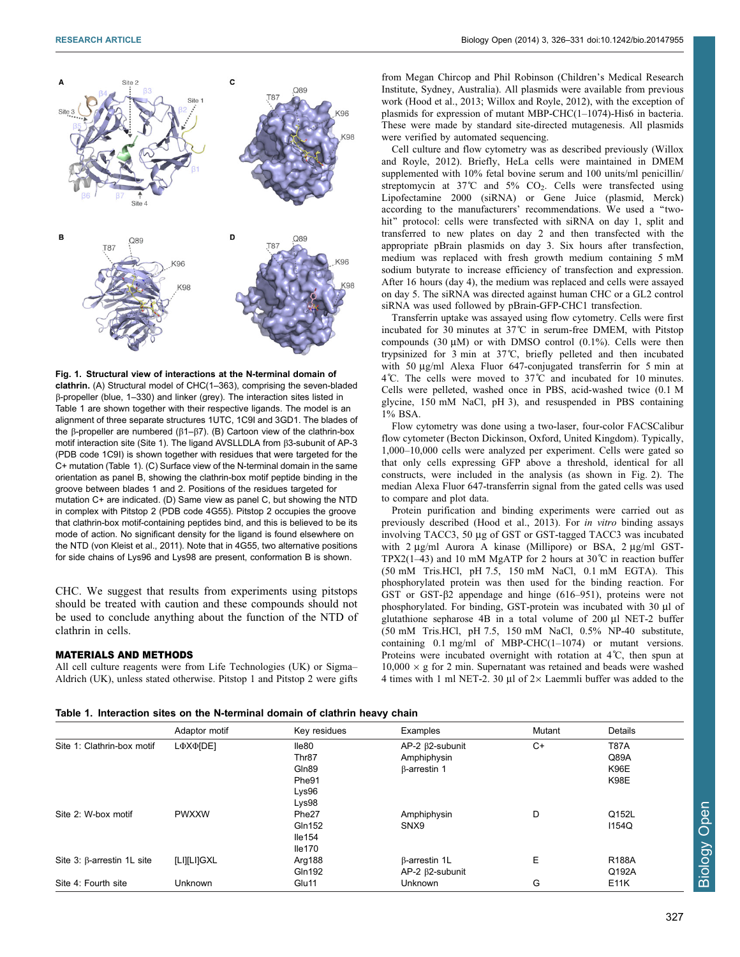<span id="page-2-0"></span>

Fig. 1. Structural view of interactions at the N-terminal domain of clathrin. (A) Structural model of CHC(1–363), comprising the seven-bladed b-propeller (blue, 1–330) and linker (grey). The interaction sites listed in Table 1 are shown together with their respective ligands. The model is an alignment of three separate structures 1UTC, 1C9I and 3GD1. The blades of the  $\beta$ -propeller are numbered ( $\beta$ 1- $\beta$ 7). (B) Cartoon view of the clathrin-box motif interaction site (Site 1). The ligand AVSLLDLA from  $\beta$ 3-subunit of AP-3 (PDB code 1C9I) is shown together with residues that were targeted for the C+ mutation (Table 1). (C) Surface view of the N-terminal domain in the same orientation as panel B, showing the clathrin-box motif peptide binding in the groove between blades 1 and 2. Positions of the residues targeted for mutation C+ are indicated. (D) Same view as panel C, but showing the NTD in complex with Pitstop 2 (PDB code 4G55). Pitstop 2 occupies the groove that clathrin-box motif-containing peptides bind, and this is believed to be its mode of action. No significant density for the ligand is found elsewhere on the NTD ([von Kleist et al., 2011](#page-6-0)). Note that in 4G55, two alternative positions for side chains of Lys96 and Lys98 are present, conformation B is shown.

CHC. We suggest that results from experiments using pitstops should be treated with caution and these compounds should not be used to conclude anything about the function of the NTD of clathrin in cells.

#### MATERIALS AND METHODS

All cell culture reagents were from Life Technologies (UK) or Sigma– Aldrich (UK), unless stated otherwise. Pitstop 1 and Pitstop 2 were gifts from Megan Chircop and Phil Robinson (Children's Medical Research Institute, Sydney, Australia). All plasmids were available from previous work [\(Hood et al., 2013](#page-5-0); [Willox and Royle, 2012\)](#page-6-0), with the exception of plasmids for expression of mutant MBP-CHC(1–1074)-His6 in bacteria. These were made by standard site-directed mutagenesis. All plasmids were verified by automated sequencing.

Cell culture and flow cytometry was as described previously [\(Willox](#page-6-0) [and Royle, 2012\)](#page-6-0). Briefly, HeLa cells were maintained in DMEM supplemented with 10% fetal bovine serum and 100 units/ml penicillin/ streptomycin at  $37^{\circ}$ C and  $5\%$  CO<sub>2</sub>. Cells were transfected using Lipofectamine 2000 (siRNA) or Gene Juice (plasmid, Merck) according to the manufacturers' recommendations. We used a ''twohit" protocol: cells were transfected with siRNA on day 1, split and transferred to new plates on day 2 and then transfected with the appropriate pBrain plasmids on day 3. Six hours after transfection, medium was replaced with fresh growth medium containing 5 mM sodium butyrate to increase efficiency of transfection and expression. After 16 hours (day 4), the medium was replaced and cells were assayed on day 5. The siRNA was directed against human CHC or a GL2 control siRNA was used followed by pBrain-GFP-CHC1 transfection.

Transferrin uptake was assayed using flow cytometry. Cells were first incubated for 30 minutes at 37˚C in serum-free DMEM, with Pitstop compounds  $(30 \mu M)$  or with DMSO control  $(0.1\%)$ . Cells were then trypsinized for 3 min at 37˚C, briefly pelleted and then incubated with 50 µg/ml Alexa Fluor 647-conjugated transferrin for 5 min at  $4^{\circ}$ C. The cells were moved to  $37^{\circ}$ C and incubated for 10 minutes. Cells were pelleted, washed once in PBS, acid-washed twice (0.1 M glycine, 150 mM NaCl, pH 3), and resuspended in PBS containing 1% BSA.

Flow cytometry was done using a two-laser, four-color FACSCalibur flow cytometer (Becton Dickinson, Oxford, United Kingdom). Typically, 1,000–10,000 cells were analyzed per experiment. Cells were gated so that only cells expressing GFP above a threshold, identical for all constructs, were included in the analysis (as shown in [Fig. 2](#page-3-0)). The median Alexa Fluor 647-transferrin signal from the gated cells was used to compare and plot data.

Protein purification and binding experiments were carried out as previously described ([Hood et al., 2013](#page-5-0)). For in vitro binding assays involving TACC3, 50 µg of GST or GST-tagged TACC3 was incubated with 2 µg/ml Aurora A kinase (Millipore) or BSA, 2 µg/ml GST-TPX2(1–43) and 10 mM MgATP for 2 hours at  $30^{\circ}$ C in reaction buffer (50 mM Tris.HCl, pH 7.5, 150 mM NaCl, 0.1 mM EGTA). This phosphorylated protein was then used for the binding reaction. For GST or GST- $\beta$ 2 appendage and hinge (616–951), proteins were not phosphorylated. For binding, GST-protein was incubated with 30 µl of glutathione sepharose  $4B$  in a total volume of  $200 \mu l$  NET-2 buffer (50 mM Tris.HCl, pH 7.5, 150 mM NaCl, 0.5% NP-40 substitute, containing 0.1 mg/ml of MBP-CHC(1–1074) or mutant versions. Proteins were incubated overnight with rotation at 4˚C, then spun at  $10,000 \times g$  for 2 min. Supernatant was retained and beads were washed 4 times with 1 ml NET-2. 30  $\mu$ l of 2×Laemmli buffer was added to the

Table 1. Interaction sites on the N-terminal domain of clathrin heavy chain

|                                   | Adaptor motif | Key residues      | Examples                 | Mutant | Details      |
|-----------------------------------|---------------|-------------------|--------------------------|--------|--------------|
| Site 1: Clathrin-box motif        | LΦXΦ[DE]      | lle80             | $AP-2$ $\beta$ 2-subunit | $C+$   | <b>T87A</b>  |
|                                   |               | Thr <sub>87</sub> | Amphiphysin              |        | Q89A         |
|                                   |               | Gln89             | $\beta$ -arrestin 1      |        | <b>K96E</b>  |
|                                   |               | Phe91             |                          |        | <b>K98E</b>  |
|                                   |               | Lys96             |                          |        |              |
|                                   |               | Lys98             |                          |        |              |
| Site 2: W-box motif               | <b>PWXXW</b>  | Phe <sub>27</sub> | Amphiphysin              | D      | Q152L        |
|                                   |               | Gln152            | SNX9                     |        | 1154Q        |
|                                   |               | lle154            |                          |        |              |
|                                   |               | lle170            |                          |        |              |
| Site $3: \beta$ -arrestin 1L site | [LI][LI]GXL   | Arg188            | β-arrestin 1L            | Е      | <b>R188A</b> |
|                                   |               | Gln192            | $AP-2$ $\beta$ 2-subunit |        | Q192A        |
| Site 4: Fourth site               | Unknown       | Glu11             | Unknown                  | G      | E11K         |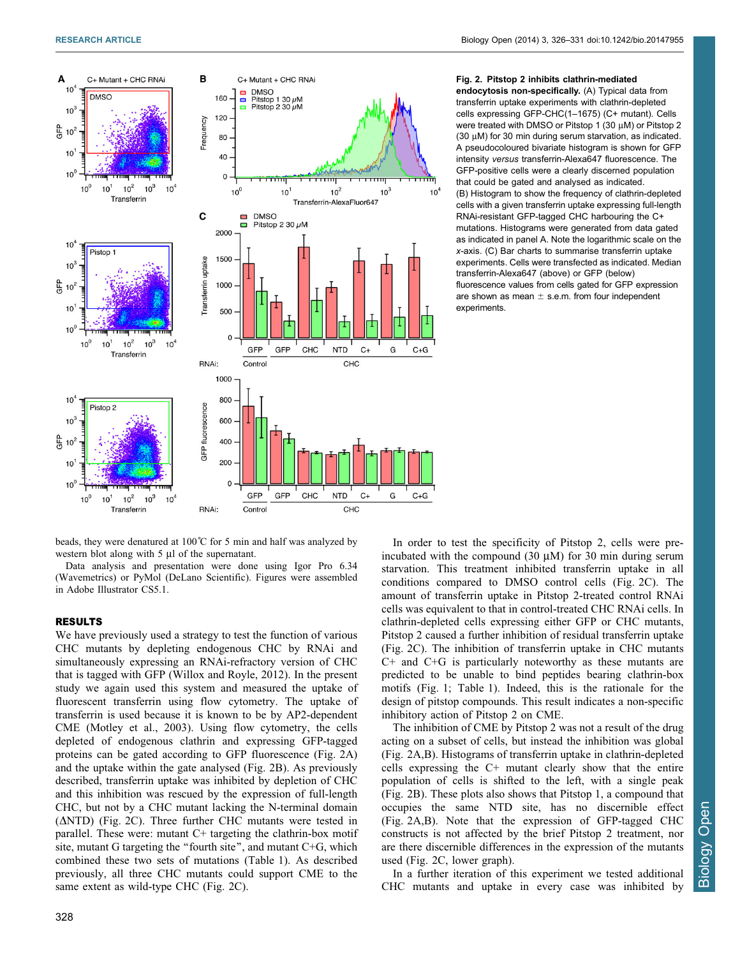<span id="page-3-0"></span>

## Fig. 2. Pitstop 2 inhibits clathrin-mediated endocytosis non-specifically. (A) Typical data from transferrin uptake experiments with clathrin-depleted cells expressing GFP-CHC(1–1675) (C+ mutant). Cells were treated with DMSO or Pitstop 1 (30  $\mu$ M) or Pitstop 2 (30  $\mu$ M) for 30 min during serum starvation, as indicated. A pseudocoloured bivariate histogram is shown for GFP

intensity versus transferrin-Alexa647 fluorescence. The GFP-positive cells were a clearly discerned population that could be gated and analysed as indicated. (B) Histogram to show the frequency of clathrin-depleted cells with a given transferrin uptake expressing full-length RNAi-resistant GFP-tagged CHC harbouring the C+ mutations. Histograms were generated from data gated as indicated in panel A. Note the logarithmic scale on the x-axis. (C) Bar charts to summarise transferrin uptake experiments. Cells were transfected as indicated. Median transferrin-Alexa647 (above) or GFP (below) fluorescence values from cells gated for GFP expression are shown as mean  $\pm$  s.e.m. from four independent experiments.

beads, they were denatured at  $100^{\circ}$ C for 5 min and half was analyzed by western blot along with  $5 \mu l$  of the supernatant.

Data analysis and presentation were done using Igor Pro 6.34 (Wavemetrics) or PyMol (DeLano Scientific). Figures were assembled in Adobe Illustrator CS5.1.

## RESULTS

We have previously used a strategy to test the function of various CHC mutants by depleting endogenous CHC by RNAi and simultaneously expressing an RNAi-refractory version of CHC that is tagged with GFP ([Willox and Royle, 2012](#page-6-0)). In the present study we again used this system and measured the uptake of fluorescent transferrin using flow cytometry. The uptake of transferrin is used because it is known to be by AP2-dependent CME ([Motley et al., 2003\)](#page-6-0). Using flow cytometry, the cells depleted of endogenous clathrin and expressing GFP-tagged proteins can be gated according to GFP fluorescence (Fig. 2A) and the uptake within the gate analysed (Fig. 2B). As previously described, transferrin uptake was inhibited by depletion of CHC and this inhibition was rescued by the expression of full-length CHC, but not by a CHC mutant lacking the N-terminal domain  $(\Delta NTD)$  (Fig. 2C). Three further CHC mutants were tested in parallel. These were: mutant C+ targeting the clathrin-box motif site, mutant G targeting the "fourth site", and mutant C+G, which combined these two sets of mutations [\(Table 1\)](#page-2-0). As described previously, all three CHC mutants could support CME to the same extent as wild-type CHC (Fig. 2C).

In order to test the specificity of Pitstop 2, cells were preincubated with the compound  $(30 \mu M)$  for 30 min during serum starvation. This treatment inhibited transferrin uptake in all conditions compared to DMSO control cells (Fig. 2C). The amount of transferrin uptake in Pitstop 2-treated control RNAi cells was equivalent to that in control-treated CHC RNAi cells. In clathrin-depleted cells expressing either GFP or CHC mutants, Pitstop 2 caused a further inhibition of residual transferrin uptake (Fig. 2C). The inhibition of transferrin uptake in CHC mutants C+ and C+G is particularly noteworthy as these mutants are predicted to be unable to bind peptides bearing clathrin-box motifs [\(Fig. 1](#page-2-0); [Table 1\)](#page-2-0). Indeed, this is the rationale for the design of pitstop compounds. This result indicates a non-specific inhibitory action of Pitstop 2 on CME.

The inhibition of CME by Pitstop 2 was not a result of the drug acting on a subset of cells, but instead the inhibition was global (Fig. 2A,B). Histograms of transferrin uptake in clathrin-depleted cells expressing the C+ mutant clearly show that the entire population of cells is shifted to the left, with a single peak (Fig. 2B). These plots also shows that Pitstop 1, a compound that occupies the same NTD site, has no discernible effect (Fig. 2A,B). Note that the expression of GFP-tagged CHC constructs is not affected by the brief Pitstop 2 treatment, nor are there discernible differences in the expression of the mutants used (Fig. 2C, lower graph).

In a further iteration of this experiment we tested additional CHC mutants and uptake in every case was inhibited by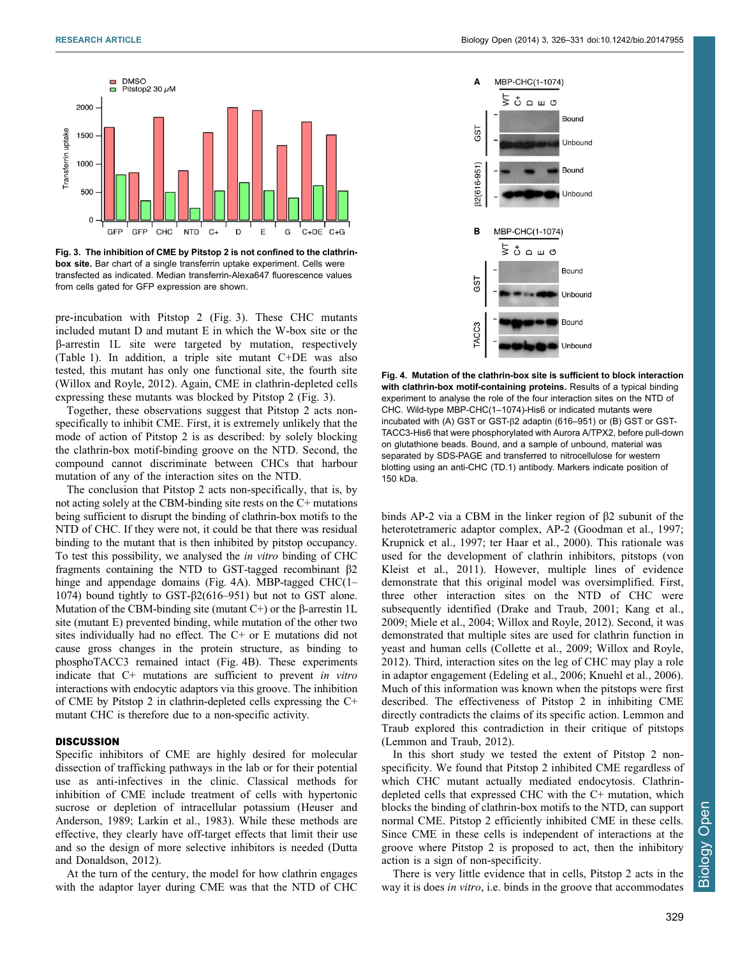

Fig. 3. The inhibition of CME by Pitstop 2 is not confined to the clathrinbox site. Bar chart of a single transferrin uptake experiment. Cells were transfected as indicated. Median transferrin-Alexa647 fluorescence values from cells gated for GFP expression are shown.

pre-incubation with Pitstop 2 (Fig. 3). These CHC mutants included mutant D and mutant E in which the W-box site or the b-arrestin 1L site were targeted by mutation, respectively ([Table 1\)](#page-2-0). In addition, a triple site mutant C+DE was also tested, this mutant has only one functional site, the fourth site ([Willox and Royle, 2012](#page-6-0)). Again, CME in clathrin-depleted cells expressing these mutants was blocked by Pitstop 2 (Fig. 3).

Together, these observations suggest that Pitstop 2 acts nonspecifically to inhibit CME. First, it is extremely unlikely that the mode of action of Pitstop 2 is as described: by solely blocking the clathrin-box motif-binding groove on the NTD. Second, the compound cannot discriminate between CHCs that harbour mutation of any of the interaction sites on the NTD.

The conclusion that Pitstop 2 acts non-specifically, that is, by not acting solely at the CBM-binding site rests on the C+ mutations being sufficient to disrupt the binding of clathrin-box motifs to the NTD of CHC. If they were not, it could be that there was residual binding to the mutant that is then inhibited by pitstop occupancy. To test this possibility, we analysed the in vitro binding of CHC fragments containing the NTD to GST-tagged recombinant  $\beta$ 2 hinge and appendage domains (Fig. 4A). MBP-tagged CHC(1– 1074) bound tightly to  $GST-\beta2(616-951)$  but not to  $GST$  alone. Mutation of the CBM-binding site (mutant  $C^+$ ) or the  $\beta$ -arrestin 1L site (mutant E) prevented binding, while mutation of the other two sites individually had no effect. The C+ or E mutations did not cause gross changes in the protein structure, as binding to phosphoTACC3 remained intact (Fig. 4B). These experiments indicate that C+ mutations are sufficient to prevent in vitro interactions with endocytic adaptors via this groove. The inhibition of CME by Pitstop 2 in clathrin-depleted cells expressing the C+ mutant CHC is therefore due to a non-specific activity.

## **DISCUSSION**

Specific inhibitors of CME are highly desired for molecular dissection of trafficking pathways in the lab or for their potential use as anti-infectives in the clinic. Classical methods for inhibition of CME include treatment of cells with hypertonic sucrose or depletion of intracellular potassium [\(Heuser and](#page-5-0) [Anderson, 1989; Larkin et al., 1983\)](#page-5-0). While these methods are effective, they clearly have off-target effects that limit their use and so the design of more selective inhibitors is needed ([Dutta](#page-5-0) [and Donaldson, 2012](#page-5-0)).

At the turn of the century, the model for how clathrin engages with the adaptor layer during CME was that the NTD of CHC



Fig. 4. Mutation of the clathrin-box site is sufficient to block interaction with clathrin-box motif-containing proteins. Results of a typical binding experiment to analyse the role of the four interaction sites on the NTD of CHC. Wild-type MBP-CHC(1–1074)-His6 or indicated mutants were incubated with (A) GST or GST-b2 adaptin (616–951) or (B) GST or GST-TACC3-His6 that were phosphorylated with Aurora A/TPX2, before pull-down on glutathione beads. Bound, and a sample of unbound, material was separated by SDS-PAGE and transferred to nitrocellulose for western blotting using an anti-CHC (TD.1) antibody. Markers indicate position of 150 kDa.

binds AP-2 via a CBM in the linker region of  $\beta$ 2 subunit of the heterotetrameric adaptor complex, AP-2 [\(Goodman et al., 1997](#page-5-0); [Krupnick et al., 1997](#page-5-0); [ter Haar et al., 2000](#page-6-0)). This rationale was used for the development of clathrin inhibitors, pitstops ([von](#page-6-0) [Kleist et al., 2011\)](#page-6-0). However, multiple lines of evidence demonstrate that this original model was oversimplified. First, three other interaction sites on the NTD of CHC were subsequently identified ([Drake and Traub, 2001; Kang et al.,](#page-5-0) [2009; Miele et al., 2004;](#page-5-0) [Willox and Royle, 2012\)](#page-6-0). Second, it was demonstrated that multiple sites are used for clathrin function in yeast and human cells [\(Collette et al., 2009;](#page-5-0) [Willox and Royle,](#page-6-0) [2012\)](#page-6-0). Third, interaction sites on the leg of CHC may play a role in adaptor engagement [\(Edeling et al., 2006; Knuehl et al., 2006](#page-5-0)). Much of this information was known when the pitstops were first described. The effectiveness of Pitstop 2 in inhibiting CME directly contradicts the claims of its specific action. Lemmon and Traub explored this contradiction in their critique of pitstops ([Lemmon and Traub, 2012](#page-5-0)).

In this short study we tested the extent of Pitstop 2 nonspecificity. We found that Pitstop 2 inhibited CME regardless of which CHC mutant actually mediated endocytosis. Clathrindepleted cells that expressed CHC with the C+ mutation, which blocks the binding of clathrin-box motifs to the NTD, can support normal CME. Pitstop 2 efficiently inhibited CME in these cells. Since CME in these cells is independent of interactions at the groove where Pitstop 2 is proposed to act, then the inhibitory action is a sign of non-specificity.

There is very little evidence that in cells, Pitstop 2 acts in the way it is does *in vitro*, *i.e.* binds in the groove that accommodates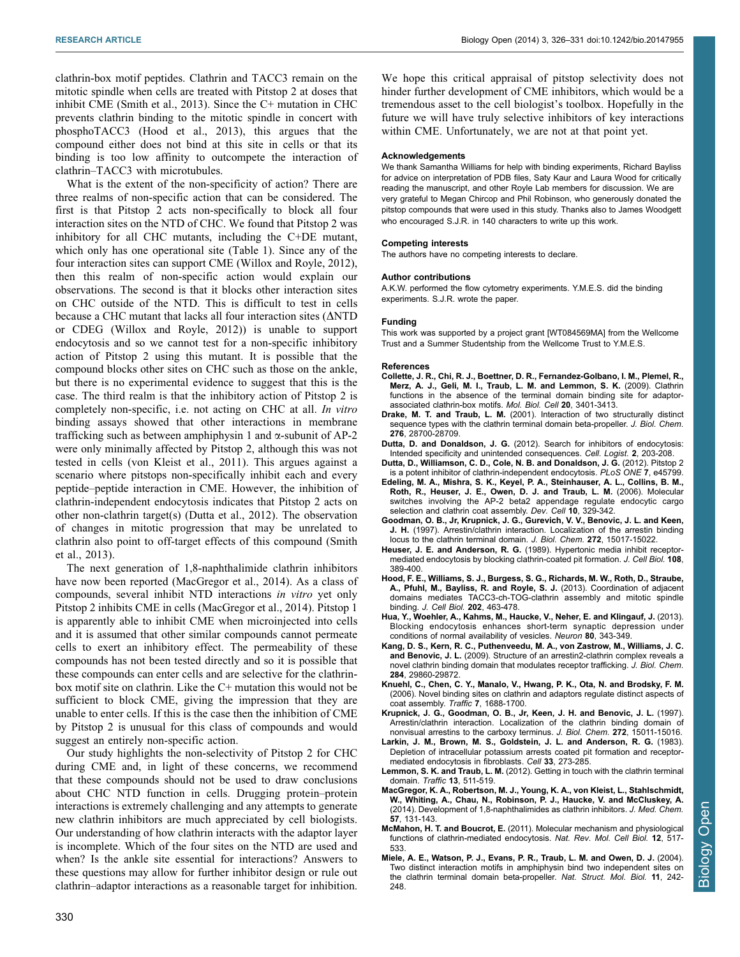<span id="page-5-0"></span>clathrin-box motif peptides. Clathrin and TACC3 remain on the mitotic spindle when cells are treated with Pitstop 2 at doses that inhibit CME ([Smith et al., 2013](#page-6-0)). Since the C+ mutation in CHC prevents clathrin binding to the mitotic spindle in concert with phosphoTACC3 (Hood et al., 2013), this argues that the compound either does not bind at this site in cells or that its binding is too low affinity to outcompete the interaction of clathrin–TACC3 with microtubules.

What is the extent of the non-specificity of action? There are three realms of non-specific action that can be considered. The first is that Pitstop 2 acts non-specifically to block all four interaction sites on the NTD of CHC. We found that Pitstop 2 was inhibitory for all CHC mutants, including the C+DE mutant, which only has one operational site [\(Table 1\)](#page-2-0). Since any of the four interaction sites can support CME ([Willox and Royle, 2012](#page-6-0)), then this realm of non-specific action would explain our observations. The second is that it blocks other interaction sites on CHC outside of the NTD. This is difficult to test in cells because a CHC mutant that lacks all four interaction sites  $(ΔNTD)$ or CDEG ([Willox and Royle, 2012\)](#page-6-0)) is unable to support endocytosis and so we cannot test for a non-specific inhibitory action of Pitstop 2 using this mutant. It is possible that the compound blocks other sites on CHC such as those on the ankle, but there is no experimental evidence to suggest that this is the case. The third realm is that the inhibitory action of Pitstop 2 is completely non-specific, i.e. not acting on CHC at all. In vitro binding assays showed that other interactions in membrane trafficking such as between amphiphysin 1 and  $\alpha$ -subunit of AP-2 were only minimally affected by Pitstop 2, although this was not tested in cells ([von Kleist et al., 2011](#page-6-0)). This argues against a scenario where pitstops non-specifically inhibit each and every peptide–peptide interaction in CME. However, the inhibition of clathrin-independent endocytosis indicates that Pitstop 2 acts on other non-clathrin target(s) (Dutta et al., 2012). The observation of changes in mitotic progression that may be unrelated to clathrin also point to off-target effects of this compound [\(Smith](#page-6-0) [et al., 2013\)](#page-6-0).

The next generation of 1,8-naphthalimide clathrin inhibitors have now been reported (MacGregor et al., 2014). As a class of compounds, several inhibit NTD interactions in vitro yet only Pitstop 2 inhibits CME in cells (MacGregor et al., 2014). Pitstop 1 is apparently able to inhibit CME when microinjected into cells and it is assumed that other similar compounds cannot permeate cells to exert an inhibitory effect. The permeability of these compounds has not been tested directly and so it is possible that these compounds can enter cells and are selective for the clathrinbox motif site on clathrin. Like the C+ mutation this would not be sufficient to block CME, giving the impression that they are unable to enter cells. If this is the case then the inhibition of CME by Pitstop 2 is unusual for this class of compounds and would suggest an entirely non-specific action.

Our study highlights the non-selectivity of Pitstop 2 for CHC during CME and, in light of these concerns, we recommend that these compounds should not be used to draw conclusions about CHC NTD function in cells. Drugging protein–protein interactions is extremely challenging and any attempts to generate new clathrin inhibitors are much appreciated by cell biologists. Our understanding of how clathrin interacts with the adaptor layer is incomplete. Which of the four sites on the NTD are used and when? Is the ankle site essential for interactions? Answers to these questions may allow for further inhibitor design or rule out clathrin–adaptor interactions as a reasonable target for inhibition.

We hope this critical appraisal of pitstop selectivity does not hinder further development of CME inhibitors, which would be a tremendous asset to the cell biologist's toolbox. Hopefully in the future we will have truly selective inhibitors of key interactions within CME. Unfortunately, we are not at that point yet.

#### Acknowledgements

We thank Samantha Williams for help with binding experiments, Richard Bayliss for advice on interpretation of PDB files, Saty Kaur and Laura Wood for critically reading the manuscript, and other Royle Lab members for discussion. We are very grateful to Megan Chircop and Phil Robinson, who generously donated the pitstop compounds that were used in this study. Thanks also to James Woodgett who encouraged S.J.R. in 140 characters to write up this work.

#### Competing interests

The authors have no competing interests to declare.

#### Author contributions

A.K.W. performed the flow cytometry experiments. Y.M.E.S. did the binding experiments. S.J.R. wrote the paper.

#### Funding

This work was supported by a project grant [WT084569MA] from the Wellcome Trust and a Summer Studentship from the Wellcome Trust to Y.M.E.S.

#### References

- [Collette, J. R., Chi, R. J., Boettner, D. R., Fernandez-Golbano, I. M., Plemel, R.,](http://dx.doi.org/10.1091/mbc.E08-10-1082) [Merz, A. J., Geli, M. I., Traub, L. M. and Lemmon, S. K.](http://dx.doi.org/10.1091/mbc.E08-10-1082) (2009). Clathrin [functions in the absence of the terminal domain binding site for adaptor](http://dx.doi.org/10.1091/mbc.E08-10-1082)[associated clathrin-box motifs.](http://dx.doi.org/10.1091/mbc.E08-10-1082) Mol. Biol. Cell 20, 3401-3413.
- Drake, M. T. and Traub, L. M. [\(2001\). Interaction of two structurally distinct](http://dx.doi.org/10.1074/jbc.M104226200) [sequence types with the clathrin terminal domain beta-propeller.](http://dx.doi.org/10.1074/jbc.M104226200) J. Biol. Chem. 276[, 28700-28709.](http://dx.doi.org/10.1074/jbc.M104226200)
- Dutta, D. and Donaldson, J. G. [\(2012\). Search for inhibitors of endocytosis:](http://dx.doi.org/10.4161/cl.23967) [Intended specificity and unintended consequences.](http://dx.doi.org/10.4161/cl.23967) Cell. Logist. 2, 203-208.
- [Dutta, D., Williamson, C. D., Cole, N. B. and Donaldson, J. G.](http://dx.doi.org/10.1371/journal.pone.0045799) (2012). Pitstop 2 [is a potent inhibitor of clathrin-independent endocytosis.](http://dx.doi.org/10.1371/journal.pone.0045799) PLoS ONE 7, e45799.
- [Edeling, M. A., Mishra, S. K., Keyel, P. A., Steinhauser, A. L., Collins, B. M.,](http://dx.doi.org/10.1016/j.devcel.2006.01.016) [Roth, R., Heuser, J. E., Owen, D. J. and Traub, L. M.](http://dx.doi.org/10.1016/j.devcel.2006.01.016) (2006). Molecular [switches involving the AP-2 beta2 appendage regulate endocytic cargo](http://dx.doi.org/10.1016/j.devcel.2006.01.016) [selection and clathrin coat assembly.](http://dx.doi.org/10.1016/j.devcel.2006.01.016) Dev. Cell 10, 329-342.
- [Goodman, O. B., Jr, Krupnick, J. G., Gurevich, V. V., Benovic, J. L. and Keen,](http://dx.doi.org/10.1074/jbc.272.23.15017) J. H. [\(1997\). Arrestin/clathrin interaction. Localization of the arrestin binding](http://dx.doi.org/10.1074/jbc.272.23.15017) [locus to the clathrin terminal domain.](http://dx.doi.org/10.1074/jbc.272.23.15017) J. Biol. Chem. 272, 15017-15022.
- Heuser, J. E. and Anderson, R. G. [\(1989\). Hypertonic media inhibit receptor](http://dx.doi.org/10.1083/jcb.108.2.389)[mediated endocytosis by blocking clathrin-coated pit formation.](http://dx.doi.org/10.1083/jcb.108.2.389) J. Cell Biol. 108, [389-400.](http://dx.doi.org/10.1083/jcb.108.2.389)
- [Hood, F. E., Williams, S. J., Burgess, S. G., Richards, M. W., Roth, D., Straube,](http://dx.doi.org/10.1083/jcb.201211127) [A., Pfuhl, M., Bayliss, R. and Royle, S. J.](http://dx.doi.org/10.1083/jcb.201211127) (2013). Coordination of adjacent [domains mediates TACC3-ch-TOG-clathrin assembly and mitotic spindle](http://dx.doi.org/10.1083/jcb.201211127) binding. [J. Cell Biol.](http://dx.doi.org/10.1083/jcb.201211127) 202, 463-478.
- [Hua, Y., Woehler, A., Kahms, M., Haucke, V., Neher, E. and Klingauf, J.](http://dx.doi.org/10.1016/j.neuron.2013.08.010) (2013). [Blocking endocytosis enhances short-term synaptic depression under](http://dx.doi.org/10.1016/j.neuron.2013.08.010) [conditions of normal availability of vesicles.](http://dx.doi.org/10.1016/j.neuron.2013.08.010) Neuron 80, 343-349.
- [Kang, D. S., Kern, R. C., Puthenveedu, M. A., von Zastrow, M., Williams, J. C.](http://dx.doi.org/10.1074/jbc.M109.023366) and Benovic, J. L. [\(2009\). Structure of an arrestin2-clathrin complex reveals a](http://dx.doi.org/10.1074/jbc.M109.023366) [novel clathrin binding domain that modulates receptor trafficking.](http://dx.doi.org/10.1074/jbc.M109.023366) J. Biol. Chem. 284[, 29860-29872.](http://dx.doi.org/10.1074/jbc.M109.023366)
- [Knuehl, C., Chen, C. Y., Manalo, V., Hwang, P. K., Ota, N. and Brodsky, F. M.](http://dx.doi.org/10.1111/j.1600-0854.2006.00499.x) [\(2006\). Novel binding sites on clathrin and adaptors regulate distinct aspects of](http://dx.doi.org/10.1111/j.1600-0854.2006.00499.x) [coat assembly.](http://dx.doi.org/10.1111/j.1600-0854.2006.00499.x) Traffic 7, 1688-1700.
- [Krupnick, J. G., Goodman, O. B., Jr, Keen, J. H. and Benovic, J. L.](http://dx.doi.org/10.1074/jbc.272.23.15011) (1997). [Arrestin/clathrin interaction. Localization of the clathrin binding domain of](http://dx.doi.org/10.1074/jbc.272.23.15011) [nonvisual arrestins to the carboxy terminus.](http://dx.doi.org/10.1074/jbc.272.23.15011) J. Biol. Chem. 272, 15011-15016.
- [Larkin, J. M., Brown, M. S., Goldstein, J. L. and Anderson, R. G.](http://dx.doi.org/10.1016/0092-8674(83)90356-2) (1983). [Depletion of intracellular potassium arrests coated pit formation and receptor](http://dx.doi.org/10.1016/0092-8674(83)90356-2)[mediated endocytosis in fibroblasts.](http://dx.doi.org/10.1016/0092-8674(83)90356-2) Cell 33, 273-285
- Lemmon, S. K. and Traub, L. M. [\(2012\). Getting in touch with the clathrin terminal](http://dx.doi.org/10.1111/j.1600-0854.2011.01321.x) domain. Traffic 13[, 511-519.](http://dx.doi.org/10.1111/j.1600-0854.2011.01321.x)
- [MacGregor, K. A., Robertson, M. J., Young, K. A., von Kleist, L., Stahlschmidt,](http://dx.doi.org/10.1021/jm4015263) [W., Whiting, A., Chau, N., Robinson, P. J., Haucke, V. and McCluskey, A.](http://dx.doi.org/10.1021/jm4015263) [\(2014\). Development of 1,8-naphthalimides as clathrin inhibitors.](http://dx.doi.org/10.1021/jm4015263) J. Med. Chem. 57[, 131-143.](http://dx.doi.org/10.1021/jm4015263)
- McMahon, H. T. and Boucrot, E. [\(2011\). Molecular mechanism and physiological](http://dx.doi.org/10.1038/nrm3151) [functions of clathrin-mediated endocytosis.](http://dx.doi.org/10.1038/nrm3151) Nat. Rev. Mol. Cell Biol. 12, 517- [533.](http://dx.doi.org/10.1038/nrm3151)
- [Miele, A. E., Watson, P. J., Evans, P. R., Traub, L. M. and Owen, D. J.](http://dx.doi.org/10.1038/nsmb736) (2004). [Two distinct interaction motifs in amphiphysin bind two independent sites on](http://dx.doi.org/10.1038/nsmb736) [the clathrin terminal domain beta-propeller.](http://dx.doi.org/10.1038/nsmb736) Nat. Struct. Mol. Biol. 11, 242-[248.](http://dx.doi.org/10.1038/nsmb736)